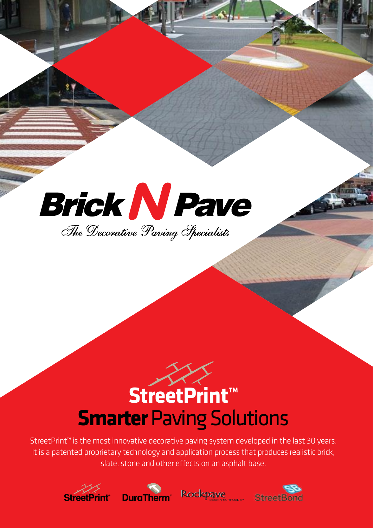

# $\rightarrow$ **StreetPrint™ Smarter** Paving Solutions

StreetPrint**™** is the most innovative decorative paving system developed in the last 30 years. It is a patented proprietary technology and application process that produces realistic brick, slate, stone and other effects on an asphalt base.







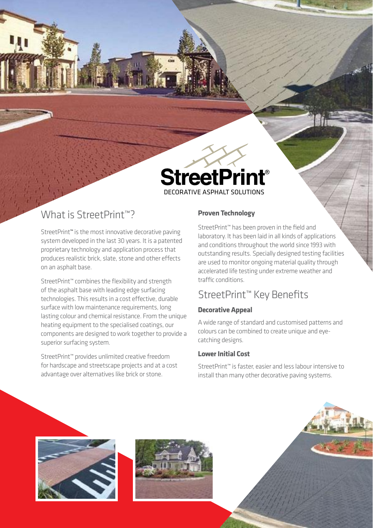

# What is StreetPrint™?

StreetPrint**™** is the most innovative decorative paving system developed in the last 30 years. It is a patented proprietary technology and application process that produces realistic brick, slate, stone and other effects on an asphalt base.

StreetPrint™ combines the flexibility and strength of the asphalt base with leading edge surfacing technologies. This results in a cost effective, durable surface with low maintenance requirements, long lasting colour and chemical resistance. From the unique heating equipment to the specialised coatings, our components are designed to work together to provide a superior surfacing system.

StreetPrint™ provides unlimited creative freedom for hardscape and streetscape projects and at a cost advantage over alternatives like brick or stone.

## **Proven Technology**

StreetPrint™ has been proven in the field and laboratory. It has been laid in all kinds of applications and conditions throughout the world since 1993 with outstanding results. Specially designed testing facilities are used to monitor ongoing material quality through accelerated life testing under extreme weather and traffic conditions.

# StreetPrint™ Key Benefits

## **Decorative Appeal**

A wide range of standard and customised patterns and colours can be combined to create unique and eyecatching designs.

## **Lower Initial Cost**

StreetPrint™ is faster, easier and less labour intensive to install than many other decorative paving systems.





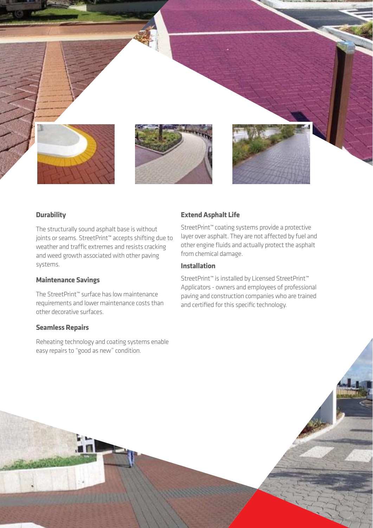

## **Durability**

The structurally sound asphalt base is without joints or seams. StreetPrint™ accepts shifting due to weather and traffic extremes and resists cracking and weed growth associated with other paving systems.

## **Maintenance Savings**

The StreetPrint™ surface has low maintenance requirements and lower maintenance costs than other decorative surfaces.

## **Seamless Repairs**

Reheating technology and coating systems enable easy repairs to "good as new" condition.

## **Extend Asphalt Life**

StreetPrint™ coating systems provide a protective layer over asphalt. They are not affected by fuel and other engine fluids and actually protect the asphalt from chemical damage.

## **Installation**

StreetPrint™ is installed by Licensed StreetPrint™ Applicators - owners and employees of professional paving and construction companies who are trained and certified for this specific technology.

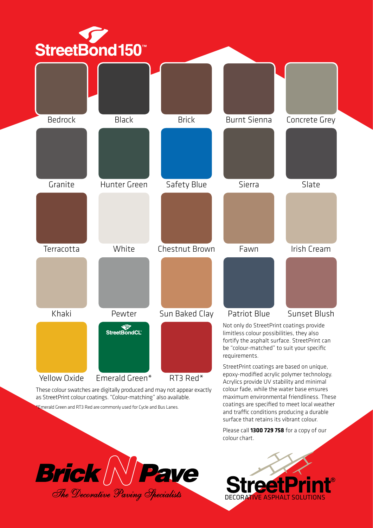

as StreetPrint colour coatings. "Colour-matching" also available.

\*Emerald Green and RT3 Red are commonly used for Cycle and Bus Lanes.





coatings are specified to meet local weather and traffic conditions producing a durable surface that retains its vibrant colour. Please call **1300 729 758** for a copy of our

colour chart.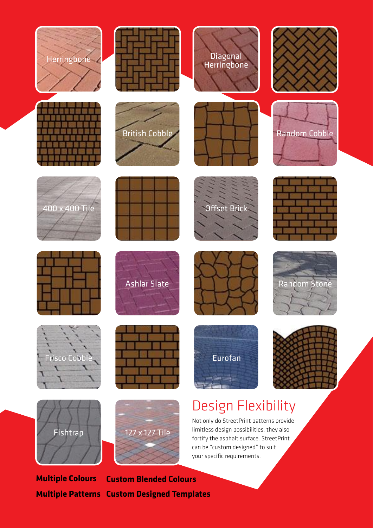







**Multiple Colours Multiple Patterns Custom Designed TemplatesCustom Blended Colours**

# Design Flexibility

Eurofan

Not only do StreetPrint patterns provide limitless design possibilities, they also fortify the asphalt surface. StreetPrint can be "custom designed" to suit your specific requirements.